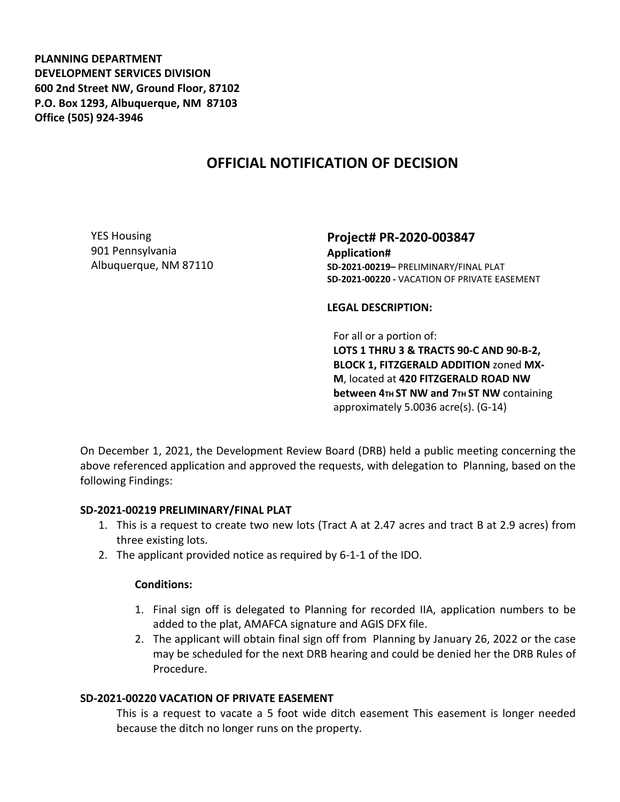**PLANNING DEPARTMENT DEVELOPMENT SERVICES DIVISION 600 2nd Street NW, Ground Floor, 87102 P.O. Box 1293, Albuquerque, NM 87103 Office (505) 924-3946** 

## **OFFICIAL NOTIFICATION OF DECISION**

YES Housing 901 Pennsylvania Albuquerque, NM 87110 **Project# PR-2020-003847 Application# SD-2021-00219–** PRELIMINARY/FINAL PLAT **SD-2021-00220 -** VACATION OF PRIVATE EASEMENT

**LEGAL DESCRIPTION:**

For all or a portion of: **LOTS 1 THRU 3 & TRACTS 90-C AND 90-B-2, BLOCK 1, FITZGERALD ADDITION** zoned **MX-M**, located at **420 FITZGERALD ROAD NW between 4TH ST NW and 7TH ST NW containing** approximately 5.0036 acre(s). (G-14)

On December 1, 2021, the Development Review Board (DRB) held a public meeting concerning the above referenced application and approved the requests, with delegation to Planning, based on the following Findings:

## **SD-2021-00219 PRELIMINARY/FINAL PLAT**

- 1. This is a request to create two new lots (Tract A at 2.47 acres and tract B at 2.9 acres) from three existing lots.
- 2. The applicant provided notice as required by 6-1-1 of the IDO.

## **Conditions:**

- 1. Final sign off is delegated to Planning for recorded IIA, application numbers to be added to the plat, AMAFCA signature and AGIS DFX file.
- 2. The applicant will obtain final sign off from Planning by January 26, 2022 or the case may be scheduled for the next DRB hearing and could be denied her the DRB Rules of Procedure.

## **SD-2021-00220 VACATION OF PRIVATE EASEMENT**

This is a request to vacate a 5 foot wide ditch easement This easement is longer needed because the ditch no longer runs on the property.